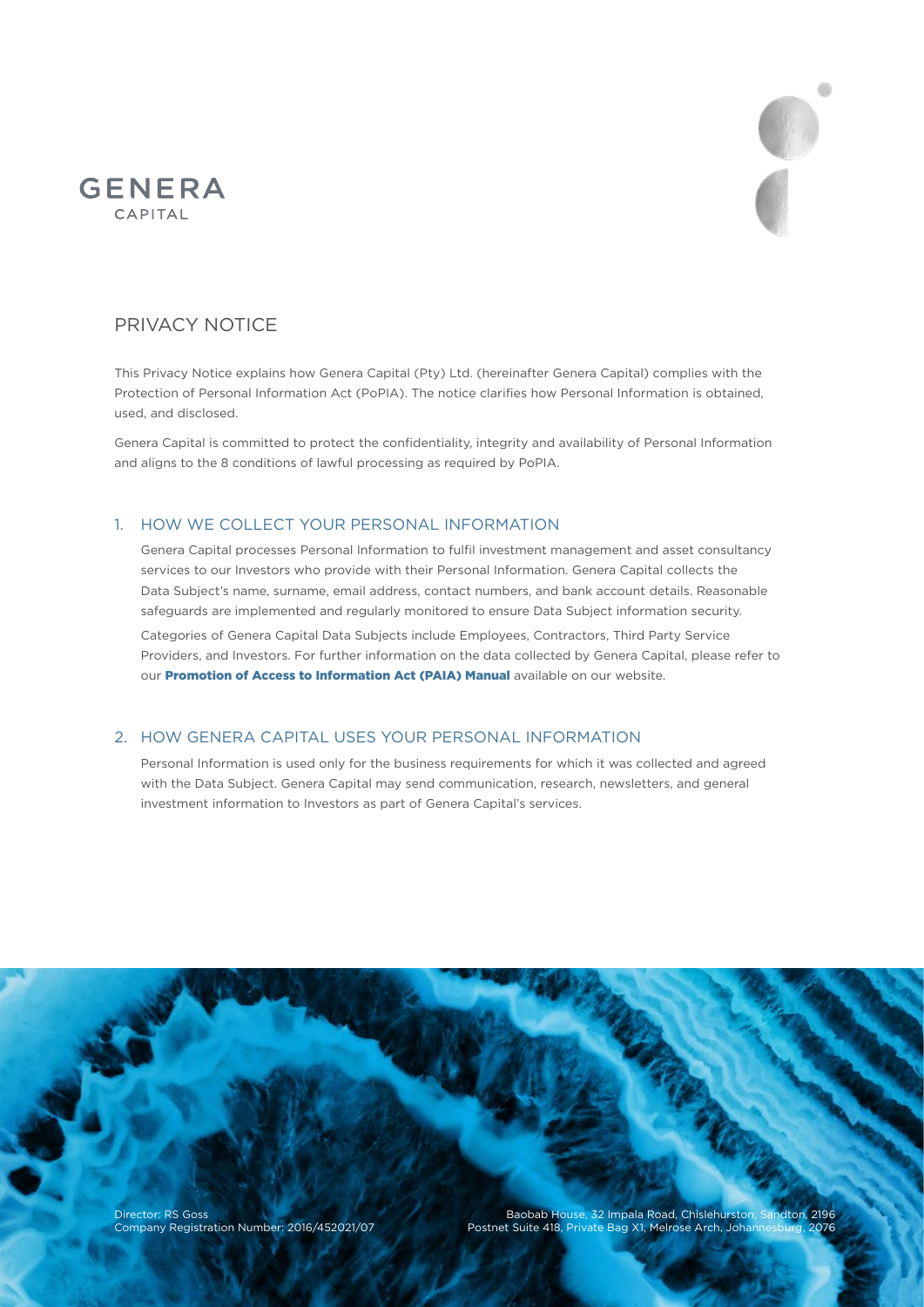



# PRIVACY NOTICE

This Privacy Notice explains how Genera Capital (Pty) Ltd. (hereinafter Genera Capital) complies with the Protection of Personal Information Act (PoPIA). The notice clarifies how Personal Information is obtained, used, and disclosed.

Genera Capital is committed to protect the confidentiality, integrity and availability of Personal Information and aligns to the 8 conditions of lawful processing as required by PoPIA.

#### 1. HOW WE COLLECT YOUR PERSONAL INFORMATION

Genera Capital processes Personal Information to fulfil investment management and asset consultancy services to our Investors who provide with their Personal Information. Genera Capital collects the Data Subject's name, surname, email address, contact numbers, and bank account details. Reasonable safeguards are implemented and regularly monitored to ensure Data Subject information security.

Categories of Genera Capital Data Subjects include Employees, Contractors, Third Party Service Providers, and Investors. For further information on the data collected by Genera Capital, please refer to our **Promotion of Access to Information Act (PAIA) Manual** available on our website.

### 2. HOW GENERA CAPITAL USES YOUR PERSONAL INFORMATION

Personal Information is used only for the business requirements for which it was collected and agreed with the Data Subject. Genera Capital may send communication, research, newsletters, and general investment information to Investors as part of Genera Capital's services.